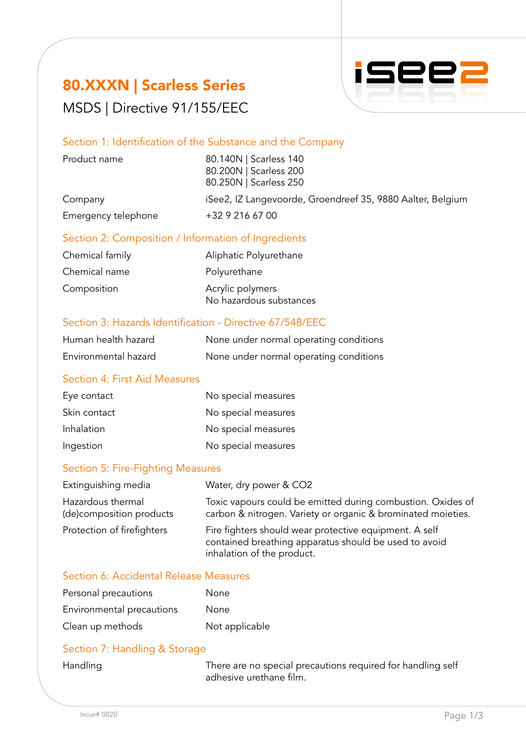## 80.XXXN | Scarless Series MSDS | Directive 91/155/EEC



### Section 1: Identification of the Substance and the Company

| Product name        | 80.140N   Scarless 140<br>80.200N   Scarless 200<br>80.250N   Scarless 250 |
|---------------------|----------------------------------------------------------------------------|
| Company             | iSee2, IZ Langevoorde, Groendreef 35, 9880 Aalter, Belgium                 |
| Emergency telephone | +32 9 216 67 00                                                            |

### Section 2: Composition / Information of Ingredients

| Chemical family | Aliphatic Polyurethane                      |
|-----------------|---------------------------------------------|
| Chemical name   | Polyurethane                                |
| Composition     | Acrylic polymers<br>No hazardous substances |

### Section 3: Hazards Identification - Directive 67/548/EEC

| Human health hazard  | None under normal operating conditions |
|----------------------|----------------------------------------|
| Environmental hazard | None under normal operating conditions |

### Section 4: First Aid Measures

| Eye contact  | No special measures |
|--------------|---------------------|
| Skin contact | No special measures |
| Inhalation   | No special measures |
| Ingestion    | No special measures |

### Section 5: Fire-Fighting Measures

| Extinguishing media                            | Water, dry power & CO2                                                                                                                        |
|------------------------------------------------|-----------------------------------------------------------------------------------------------------------------------------------------------|
| Hazardous thermal<br>(de) composition products | Toxic vapours could be emitted during combustion. Oxides of<br>carbon & nitrogen. Variety or organic & brominated moieties.                   |
| Protection of firefighters                     | Fire fighters should wear protective equipment. A self<br>contained breathing apparatus should be used to avoid<br>inhalation of the product. |

### Section 6: Accidental Release Measures

| Personal precautions      | None           |
|---------------------------|----------------|
| Environmental precautions | <b>None</b>    |
| Clean up methods          | Not applicable |

### Section 7: Handling & Storage

Handling There are no special precautions required for handling self adhesive urethane film.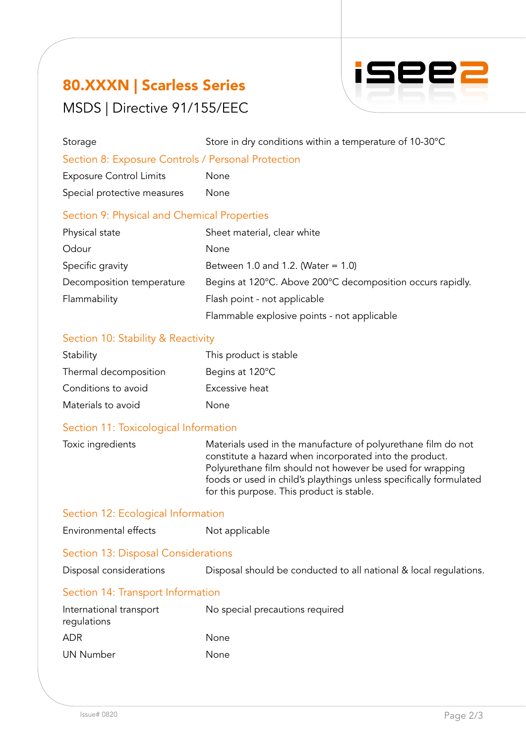# 80.XXXN | Scarless Series



MSDS | Directive 91/155/EEC

| Storage                                            | Store in dry conditions within a temperature of 10-30°C    |  |
|----------------------------------------------------|------------------------------------------------------------|--|
| Section 8: Exposure Controls / Personal Protection |                                                            |  |
| <b>Exposure Control Limits</b>                     | None                                                       |  |
| Special protective measures                        | None                                                       |  |
| Section 9: Physical and Chemical Properties        |                                                            |  |
| Physical state                                     | Sheet material, clear white                                |  |
| Odour                                              | None                                                       |  |
| Specific gravity                                   | Between 1.0 and 1.2. (Water = $1.0$ )                      |  |
| Decomposition temperature                          | Begins at 120°C. Above 200°C decomposition occurs rapidly. |  |
| Flammability                                       | Flash point - not applicable                               |  |
|                                                    | Flammable explosive points - not applicable                |  |

### Section 10: Stability & Reactivity

| Stability             | This product is stable |
|-----------------------|------------------------|
| Thermal decomposition | Begins at 120°C        |
| Conditions to avoid   | Excessive heat         |
| Materials to avoid    | None                   |

### Section 11: Toxicological Information

Toxic ingredients Materials used in the manufacture of polyurethane film do not constitute a hazard when incorporated into the product. Polyurethane film should not however be used for wrapping foods or used in child's playthings unless specifically formulated for this purpose. This product is stable.

### Section 12: Ecological Information

| Environmental effects                  | Not applicable                                                    |  |
|----------------------------------------|-------------------------------------------------------------------|--|
| Section 13: Disposal Considerations    |                                                                   |  |
| Disposal considerations                | Disposal should be conducted to all national & local regulations. |  |
| Section 14: Transport Information      |                                                                   |  |
| International transport<br>regulations | No special precautions required                                   |  |
| <b>ADR</b>                             | None                                                              |  |

|                  | 1 NUTTU     |
|------------------|-------------|
| <b>UN Number</b> | <b>None</b> |